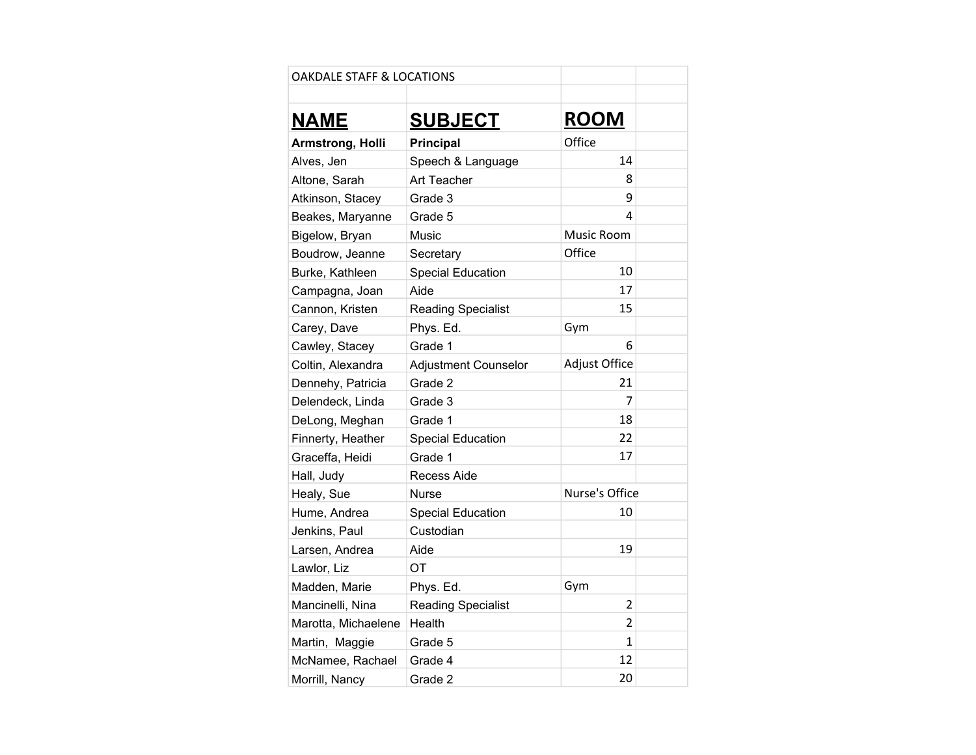| <b>OAKDALE STAFF &amp; LOCATIONS</b> |                             |                |  |
|--------------------------------------|-----------------------------|----------------|--|
|                                      |                             |                |  |
| <b>NAME</b>                          | <b>SUBJECT</b>              | <b>ROOM</b>    |  |
| Armstrong, Holli                     | <b>Principal</b>            | Office         |  |
| Alves, Jen                           | Speech & Language           | 14             |  |
| Altone, Sarah                        | Art Teacher                 | 8              |  |
| Atkinson, Stacey                     | Grade 3                     | 9              |  |
| Beakes, Maryanne                     | Grade 5                     | 4              |  |
| Bigelow, Bryan                       | Music                       | Music Room     |  |
| Boudrow, Jeanne                      | Secretary                   | Office         |  |
| Burke, Kathleen                      | <b>Special Education</b>    | 10             |  |
| Campagna, Joan                       | Aide                        | 17             |  |
| Cannon, Kristen                      | <b>Reading Specialist</b>   | 15             |  |
| Carey, Dave                          | Phys. Ed.                   | Gym            |  |
| Cawley, Stacey                       | Grade 1                     | 6              |  |
| Coltin, Alexandra                    | <b>Adjustment Counselor</b> | Adjust Office  |  |
| Dennehy, Patricia                    | Grade 2                     | 21             |  |
| Delendeck, Linda                     | Grade 3                     | 7              |  |
| DeLong, Meghan                       | Grade 1                     | 18             |  |
| Finnerty, Heather                    | <b>Special Education</b>    | 22             |  |
| Graceffa, Heidi                      | Grade 1                     | 17             |  |
| Hall, Judy                           | Recess Aide                 |                |  |
| Healy, Sue                           | <b>Nurse</b>                | Nurse's Office |  |
| Hume, Andrea                         | <b>Special Education</b>    | 10             |  |
| Jenkins, Paul                        | Custodian                   |                |  |
| Larsen, Andrea                       | Aide                        | 19             |  |
| Lawlor, Liz                          | OT                          |                |  |
| Madden, Marie                        | Phys. Ed.                   | Gym            |  |
| Mancinelli, Nina                     | <b>Reading Specialist</b>   | $\overline{2}$ |  |
| Marotta, Michaelene                  | Health                      | $\overline{2}$ |  |
| Martin, Maggie                       | Grade 5                     | 1              |  |
| McNamee, Rachael                     | Grade 4                     | 12             |  |
| Morrill, Nancy                       | Grade 2                     | 20             |  |